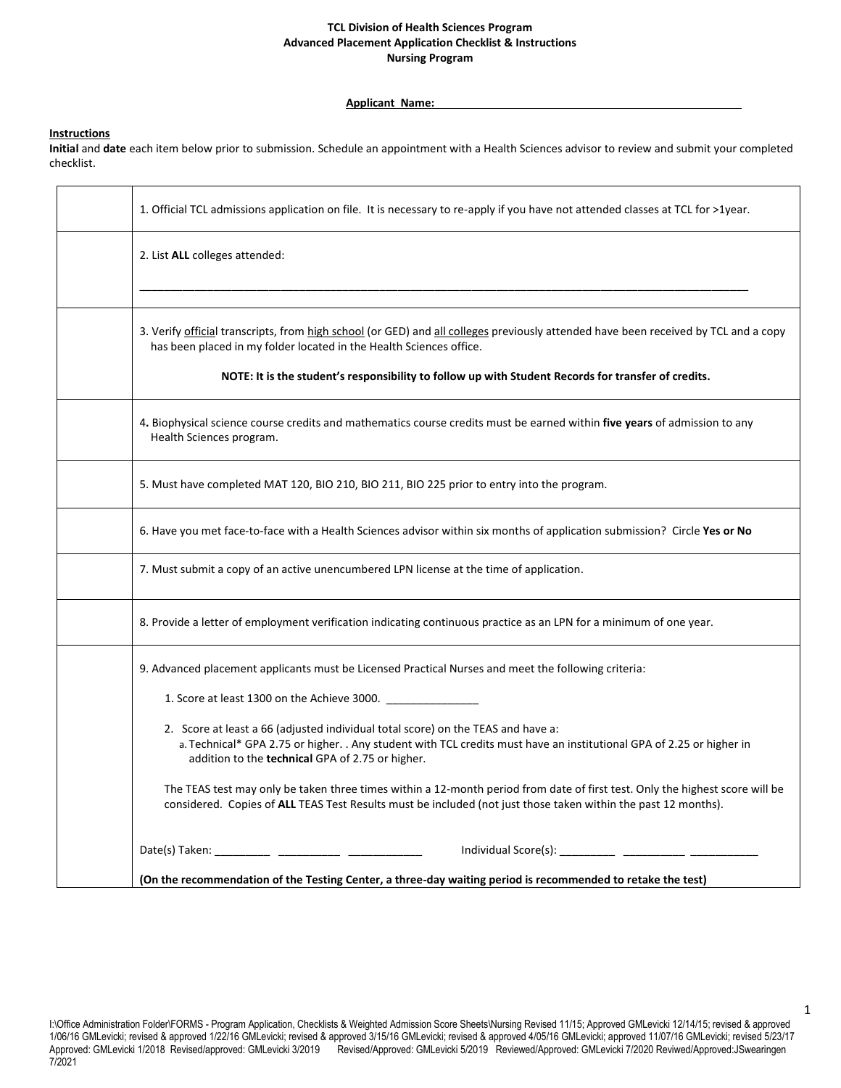## **TCL Division of Health Sciences Program Advanced Placement Application Checklist & Instructions Nursing Program**

**Applicant Name:**

## **Instructions**

**Initial** and **date** each item below prior to submission. Schedule an appointment with a Health Sciences advisor to review and submit your completed checklist.

| 1. Official TCL admissions application on file. It is necessary to re-apply if you have not attended classes at TCL for >1year.                                                                                                                              |
|--------------------------------------------------------------------------------------------------------------------------------------------------------------------------------------------------------------------------------------------------------------|
| 2. List ALL colleges attended:                                                                                                                                                                                                                               |
|                                                                                                                                                                                                                                                              |
| 3. Verify <u>officia</u> l transcripts, from high school (or GED) and all colleges previously attended have been received by TCL and a copy<br>has been placed in my folder located in the Health Sciences office.                                           |
| NOTE: It is the student's responsibility to follow up with Student Records for transfer of credits.                                                                                                                                                          |
| 4. Biophysical science course credits and mathematics course credits must be earned within five years of admission to any<br>Health Sciences program.                                                                                                        |
| 5. Must have completed MAT 120, BIO 210, BIO 211, BIO 225 prior to entry into the program.                                                                                                                                                                   |
| 6. Have you met face-to-face with a Health Sciences advisor within six months of application submission? Circle Yes or No                                                                                                                                    |
| 7. Must submit a copy of an active unencumbered LPN license at the time of application.                                                                                                                                                                      |
| 8. Provide a letter of employment verification indicating continuous practice as an LPN for a minimum of one year.                                                                                                                                           |
| 9. Advanced placement applicants must be Licensed Practical Nurses and meet the following criteria:                                                                                                                                                          |
| 1. Score at least 1300 on the Achieve 3000. ______________                                                                                                                                                                                                   |
| 2. Score at least a 66 (adjusted individual total score) on the TEAS and have a:<br>a. Technical* GPA 2.75 or higher. . Any student with TCL credits must have an institutional GPA of 2.25 or higher in<br>addition to the technical GPA of 2.75 or higher. |
| The TEAS test may only be taken three times within a 12-month period from date of first test. Only the highest score will be<br>considered. Copies of ALL TEAS Test Results must be included (not just those taken within the past 12 months).               |
|                                                                                                                                                                                                                                                              |
| (On the recommendation of the Testing Center, a three-day waiting period is recommended to retake the test)                                                                                                                                                  |

I:\Office Administration Folder\FORMS - Program Application, Checklists & Weighted Admission Score Sheets\Nursing Revised 11/15; Approved GMLevicki 12/14/15; revised & approved 1/06/16 GMLevicki; revised & approved 1/22/16 GMLevicki; revised & approved 3/15/16 GMLevicki; revised & approved 4/05/16 GMLevicki; approved 11/07/16 GMLevicki; revised 5/23/17 Approved: GMLevicki 1/2018 Revised/approved: GMLevicki 3/2019 Revised/Approved: GMLevicki 5/2019 Reviewed/Approved: GMLevicki 7/2020 Reviwed/Approved:JSwearingen 7/2021